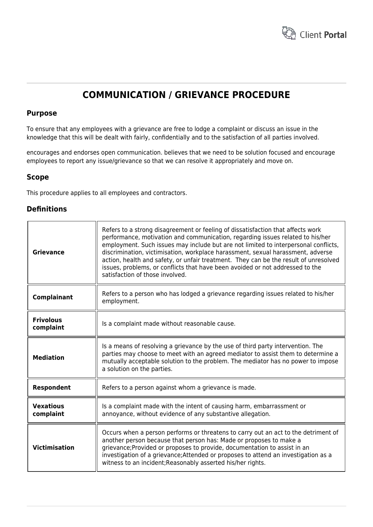

# **COMMUNICATION / GRIEVANCE PROCEDURE**

## **Purpose**

To ensure that any employees with a grievance are free to lodge a complaint or discuss an issue in the knowledge that this will be dealt with fairly, confidentially and to the satisfaction of all parties involved.

encourages and endorses open communication. believes that we need to be solution focused and encourage employees to report any issue/grievance so that we can resolve it appropriately and move on.

# **Scope**

This procedure applies to all employees and contractors.

# **Definitions**

| <b>Grievance</b>              | Refers to a strong disagreement or feeling of dissatisfaction that affects work<br>performance, motivation and communication, regarding issues related to his/her<br>employment. Such issues may include but are not limited to interpersonal conflicts,<br>discrimination, victimisation, workplace harassment, sexual harassment, adverse<br>action, health and safety, or unfair treatment. They can be the result of unresolved<br>issues, problems, or conflicts that have been avoided or not addressed to the<br>satisfaction of those involved. |
|-------------------------------|---------------------------------------------------------------------------------------------------------------------------------------------------------------------------------------------------------------------------------------------------------------------------------------------------------------------------------------------------------------------------------------------------------------------------------------------------------------------------------------------------------------------------------------------------------|
| Complainant                   | Refers to a person who has lodged a grievance regarding issues related to his/her<br>employment.                                                                                                                                                                                                                                                                                                                                                                                                                                                        |
| <b>Frivolous</b><br>complaint | Is a complaint made without reasonable cause.                                                                                                                                                                                                                                                                                                                                                                                                                                                                                                           |
| <b>Mediation</b>              | Is a means of resolving a grievance by the use of third party intervention. The<br>parties may choose to meet with an agreed mediator to assist them to determine a<br>mutually acceptable solution to the problem. The mediator has no power to impose<br>a solution on the parties.                                                                                                                                                                                                                                                                   |
| Respondent                    | Refers to a person against whom a grievance is made.                                                                                                                                                                                                                                                                                                                                                                                                                                                                                                    |
| <b>Vexatious</b><br>complaint | Is a complaint made with the intent of causing harm, embarrassment or<br>annoyance, without evidence of any substantive allegation.                                                                                                                                                                                                                                                                                                                                                                                                                     |
| <b>Victimisation</b>          | Occurs when a person performs or threatens to carry out an act to the detriment of<br>another person because that person has: Made or proposes to make a<br>grievance; Provided or proposes to provide, documentation to assist in an<br>investigation of a grievance; Attended or proposes to attend an investigation as a<br>witness to an incident; Reasonably asserted his/her rights.                                                                                                                                                              |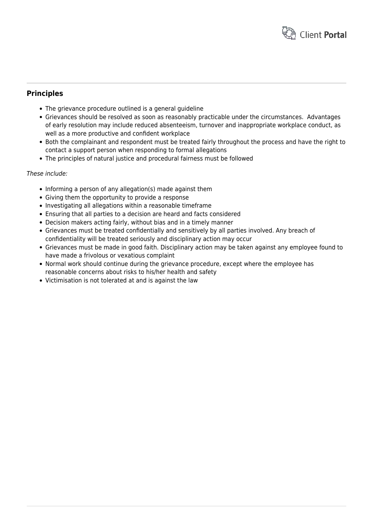

# **Principles**

- The grievance procedure outlined is a general guideline
- Grievances should be resolved as soon as reasonably practicable under the circumstances. Advantages of early resolution may include reduced absenteeism, turnover and inappropriate workplace conduct, as well as a more productive and confident workplace
- Both the complainant and respondent must be treated fairly throughout the process and have the right to contact a support person when responding to formal allegations
- The principles of natural justice and procedural fairness must be followed

## These include:

- Informing a person of any allegation(s) made against them
- Giving them the opportunity to provide a response
- Investigating all allegations within a reasonable timeframe
- Ensuring that all parties to a decision are heard and facts considered
- Decision makers acting fairly, without bias and in a timely manner
- Grievances must be treated confidentially and sensitively by all parties involved. Any breach of confidentiality will be treated seriously and disciplinary action may occur
- Grievances must be made in good faith. Disciplinary action may be taken against any employee found to have made a frivolous or vexatious complaint
- Normal work should continue during the grievance procedure, except where the employee has reasonable concerns about risks to his/her health and safety
- Victimisation is not tolerated at and is against the law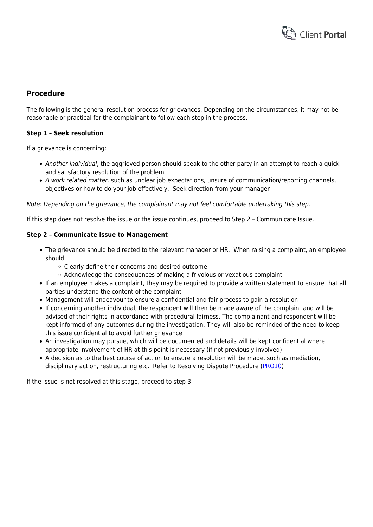

## **Procedure**

The following is the general resolution process for grievances. Depending on the circumstances, it may not be reasonable or practical for the complainant to follow each step in the process.

#### **Step 1 – Seek resolution**

If a grievance is concerning:

- Another individual, the aggrieved person should speak to the other party in an attempt to reach a quick and satisfactory resolution of the problem
- A work related matter, such as unclear job expectations, unsure of communication/reporting channels, objectives or how to do your job effectively. Seek direction from your manager

#### Note: Depending on the grievance, the complainant may not feel comfortable undertaking this step.

If this step does not resolve the issue or the issue continues, proceed to Step 2 – Communicate Issue.

#### **Step 2 – Communicate Issue to Management**

- The grievance should be directed to the relevant manager or HR. When raising a complaint, an employee should:
	- Clearly define their concerns and desired outcome
	- $\circ$  Acknowledge the consequences of making a frivolous or vexatious complaint
- If an employee makes a complaint, they may be required to provide a written statement to ensure that all parties understand the content of the complaint
- Management will endeavour to ensure a confidential and fair process to gain a resolution
- If concerning another individual, the respondent will then be made aware of the complaint and will be advised of their rights in accordance with procedural fairness. The complainant and respondent will be kept informed of any outcomes during the investigation. They will also be reminded of the need to keep this issue confidential to avoid further grievance
- An investigation may pursue, which will be documented and details will be kept confidential where appropriate involvement of HR at this point is necessary (if not previously involved)
- A decision as to the best course of action to ensure a resolution will be made, such as mediation, disciplinary action, restructuring etc. Refer to Resolving Dispute Procedure [\(PRO10](https://www.hrtemplates.com.au/policies_procedures/hr-pro10-resolving-disputes-procedure/))

If the issue is not resolved at this stage, proceed to step 3.